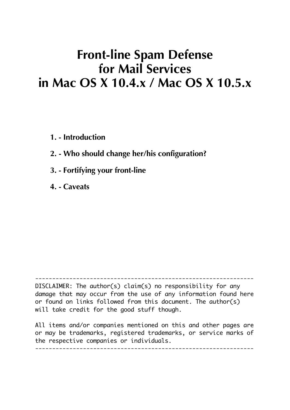# **Front-line Spam Defense for Mail Services in Mac OS X 10.4.x / Mac OS X 10.5.x**

**1. - Introduction**

**2. - Who should change her/his configuration?**

**3. - Fortifying your front-line**

**4. - Caveats**

---------------------------------------------------------------- DISCLAIMER: The author(s) claim(s) no responsibility for any damage that may occur from the use of any information found here or found on links followed from this document. The author(s) will take credit for the good stuff though.

All items and/or companies mentioned on this and other pages are or may be trademarks, registered trademarks, or service marks of the respective companies or individuals. ----------------------------------------------------------------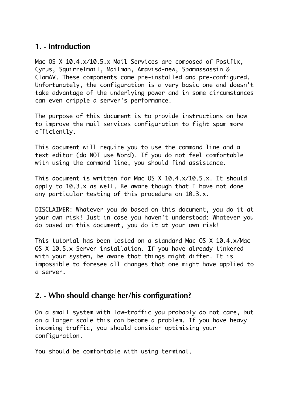### **1. - Introduction**

Mac OS X 10.4.x/10.5.x Mail Services are composed of Postfix, Cyrus, Squirrelmail, Mailman, Amavisd-new, Spamassassin & ClamAV. These components come pre-installed and pre-configured. Unfortunately, the configuration is a very basic one and doesn't take advantage of the underlying power and in some circumstances can even cripple a server's performance.

The purpose of this document is to provide instructions on how to improve the mail services configuration to fight spam more efficiently.

This document will require you to use the command line and a text editor (do NOT use Word). If you do not feel comfortable with using the command line, you should find assistance.

This document is written for Mac OS X 10.4.x/10.5.x. It should apply to 10.3.x as well. Be aware though that I have not done any particular testing of this procedure on 10.3.x.

DISCLAIMER: Whatever you do based on this document, you do it at your own risk! Just in case you haven't understood: Whatever you do based on this document, you do it at your own risk!

This tutorial has been tested on a standard Mac OS X 10.4.x/Mac OS X 10.5.x Server installation. If you have already tinkered with your system, be aware that things might differ. It is impossible to foresee all changes that one might have applied to a server.

#### **2. - Who should change her/his configuration?**

On a small system with low-traffic you probably do not care, but on a larger scale this can become a problem. If you have heavy incoming traffic, you should consider optimising your configuration.

You should be comfortable with using terminal.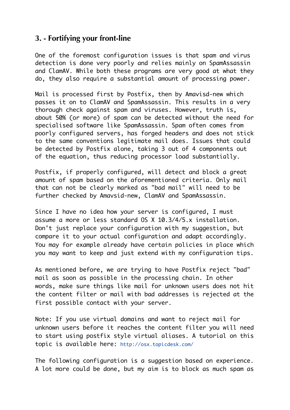## **3. - Fortifying your front-line**

One of the foremost configuration issues is that spam and virus detection is done very poorly and relies mainly on SpamAssassin and ClamAV. While both these programs are very good at what they do, they also require a substantial amount of processing power.

Mail is processed first by Postfix, then by Amavisd-new which passes it on to ClamAV and SpamAssassin. This results in a very thorough check against spam and viruses. However, truth is, about 50% (or more) of spam can be detected without the need for specialised software like SpamAssassin. Spam often comes from poorly configured servers, has forged headers and does not stick to the same conventions legitimate mail does. Issues that could be detected by Postfix alone, taking 3 out of 4 components out of the equation, thus reducing processor load substantially.

Postfix, if properly configured, will detect and block a great amount of spam based on the aforementioned criteria. Only mail that can not be clearly marked as "bad mail" will need to be further checked by Amavsid-new, ClamAV and SpamAssassin.

Since I have no idea how your server is configured, I must assume a more or less standard OS X 10.3/4/5.x installation. Don't just replace your configuration with my suggestion, but compare it to your actual configuration and adapt accordingly. You may for example already have certain policies in place which you may want to keep and just extend with my configuration tips.

As mentioned before, we are trying to have Postfix reject "bad" mail as soon as possible in the processing chain. In other words, make sure things like mail for unknown users does not hit the content filter or mail with bad addresses is rejected at the first possible contact with your server.

Note: If you use virtual domains and want to reject mail for unknown users before it reaches the content filter you will need to start using postfix style virtual aliases. A tutorial on this topic is available here: http://osx.topicdesk.com/

The following configuration is a suggestion based on experience. A lot more could be done, but my aim is to block as much spam as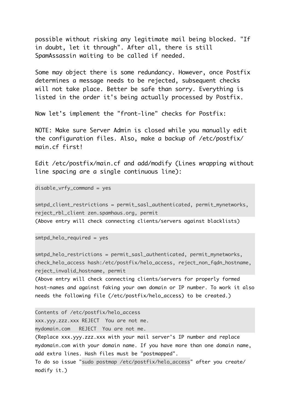possible without risking any legitimate mail being blocked. "If in doubt, let it through". After all, there is still SpamAssassin waiting to be called if needed.

Some may object there is some redundancy. However, once Postfix determines a message needs to be rejected, subsequent checks will not take place. Better be safe than sorry. Everything is listed in the order it's being actually processed by Postfix.

Now let's implement the "front-line" checks for Postfix:

NOTE: Make sure Server Admin is closed while you manually edit the configuration files. Also, make a backup of /etc/postfix/ main.cf first!

Edit /etc/postfix/main.cf and add/modify (Lines wrapping without line spacing are a single continuous line):

disable\_vrfy\_command = yes

smtpd\_client\_restrictions = permit\_sasl\_authenticated, permit\_mynetworks, reject\_rbl\_client zen.spamhaus.org, permit

(Above entry will check connecting clients/servers against blacklists)

smtpd\_helo\_required = yes

smtpd\_helo\_restrictions = permit\_sasl\_authenticated, permit\_mynetworks, check\_helo\_access hash:/etc/postfix/helo\_access, reject\_non\_fqdn\_hostname, reject\_invalid\_hostname, permit

(Above entry will check connecting clients/servers for properly formed host-names and against faking your own domain or IP number. To work it also needs the following file (/etc/postfix/helo\_access) to be created.)

Contents of /etc/postfix/helo\_access xxx.yyy.zzz.xxx REJECT You are not me.

mydomain.com REJECT You are not me.

(Replace xxx.yyy.zzz.xxx with your mail server's IP number and replace mydomain.com with your domain name. If you have more than one domain name, add extra lines. Hash files must be "postmapped".

To do so issue "sudo postmap /etc/postfix/helo\_access" after you create/ modify it.)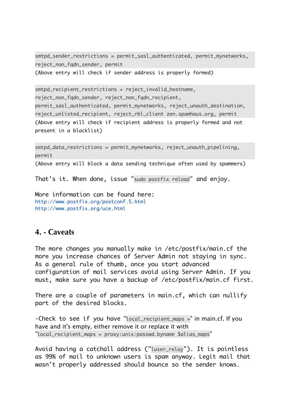```
smtpd_sender_restrictions = permit_sasl_authenticated, permit_mynetworks, 
reject_non_fqdn_sender, permit
(Above entry will check if sender address is properly formed)
```

```
smtpd recipient restrictions = reject invalid hostname,
reject_non_fqdn_sender, reject_non_fqdn_recipient, 
permit_sasl_authenticated, permit_mynetworks, reject_unauth_destination, 
reject_unlisted_recipient, reject_rbl_client zen.spamhaus.org, permit
(Above entry will check if recipient address is properly formed and not 
present in a blacklist)
```

```
smtpd_data_restrictions = permit_mynetworks, reject_unauth_pipelining, 
permit
```
(Above entry will block a data sending technique often used by spammers)

That's it. When done, issue "sudo postfix reload" and enjoy.

More information can be found here: http://www.postfix.org/postconf.5.html http://www.postfix.org/uce.html

#### **4. - Caveats**

The more changes you manually make in /etc/postfix/main.cf the more you increase chances of Server Admin not staying in sync. As a general rule of thumb, once you start advanced configuration of mail services avoid using Server Admin. If you must, make sure you have a backup of /etc/postfix/main.cf first.

There are a couple of parameters in main.cf, which can nullify part of the desired blocks.

-Check to see if you have "local\_recipient\_maps =" in main.cf. If you have and it's empty, either remove it or replace it with "local\_recipient\_maps = proxy:unix:passwd.byname \$alias\_maps"

Avoid having a catchall address ("luser\_relay"). It is pointless as 99% of mail to unknown users is spam anyway. Legit mail that wasn't properly addressed should bounce so the sender knows.